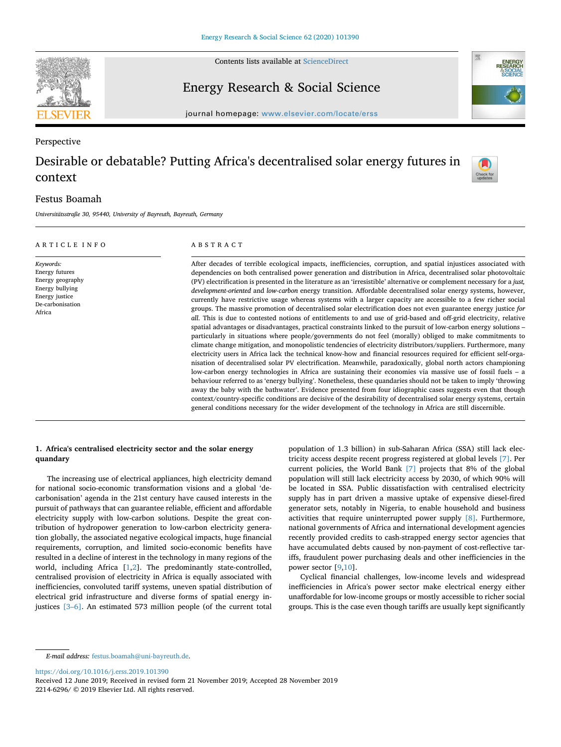

Contents lists available at [ScienceDirect](http://www.sciencedirect.com/science/journal/22146296)

Energy Research & Social Science



Check for

journal homepage: [www.elsevier.com/locate/erss](https://www.elsevier.com/locate/erss)

# Perspective Desirable or debatable? Putting Africa's decentralised solar energy futures in context

# Festus Boamah

*Universitätsstraße 30, 95440, University of Bayreuth, Bayreuth, Germany*

| ARTICLE INFO                                                                                                       | ABSTRACT                                                                                                                                                                                                                                                                                                                                                                                                                                                                                                                                                                                                                                                                                                                                                                                                                                                                                                                                                                                                                                                                                                                                                                                                                                                                                                                                                                                                                                                                                                                                                                                                                                                                                                                                                                                                                                                                                                                                                                                                                  |
|--------------------------------------------------------------------------------------------------------------------|---------------------------------------------------------------------------------------------------------------------------------------------------------------------------------------------------------------------------------------------------------------------------------------------------------------------------------------------------------------------------------------------------------------------------------------------------------------------------------------------------------------------------------------------------------------------------------------------------------------------------------------------------------------------------------------------------------------------------------------------------------------------------------------------------------------------------------------------------------------------------------------------------------------------------------------------------------------------------------------------------------------------------------------------------------------------------------------------------------------------------------------------------------------------------------------------------------------------------------------------------------------------------------------------------------------------------------------------------------------------------------------------------------------------------------------------------------------------------------------------------------------------------------------------------------------------------------------------------------------------------------------------------------------------------------------------------------------------------------------------------------------------------------------------------------------------------------------------------------------------------------------------------------------------------------------------------------------------------------------------------------------------------|
| Keywords:<br>Energy futures<br>Energy geography<br>Energy bullying<br>Energy justice<br>De-carbonisation<br>Africa | After decades of terrible ecological impacts, inefficiencies, corruption, and spatial injustices associated with<br>dependencies on both centralised power generation and distribution in Africa, decentralised solar photovoltaic<br>(PV) electrification is presented in the literature as an 'irresistible' alternative or complement necessary for a just,<br>development-oriented and low-carbon energy transition. Affordable decentralised solar energy systems, however,<br>currently have restrictive usage whereas systems with a larger capacity are accessible to a few richer social<br>groups. The massive promotion of decentralised solar electrification does not even guarantee energy justice for<br>all. This is due to contested notions of entitlements to and use of grid-based and off-grid electricity, relative<br>spatial advantages or disadvantages, practical constraints linked to the pursuit of low-carbon energy solutions –<br>particularly in situations where people/governments do not feel (morally) obliged to make commitments to<br>climate change mitigation, and monopolistic tendencies of electricity distributors/suppliers. Furthermore, many<br>electricity users in Africa lack the technical know-how and financial resources required for efficient self-orga-<br>nisation of decentralised solar PV electrification. Meanwhile, paradoxically, global north actors championing<br>low-carbon energy technologies in Africa are sustaining their economies via massive use of fossil fuels - a<br>behaviour referred to as 'energy bullying'. Nonetheless, these quandaries should not be taken to imply 'throwing<br>away the baby with the bathwater'. Evidence presented from four idiographic cases suggests even that though<br>context/country-specific conditions are decisive of the desirability of decentralised solar energy systems, certain<br>general conditions necessary for the wider development of the technology in Africa are still discernible. |

## **1. Africa's centralised electricity sector and the solar energy quandary**

The increasing use of electrical appliances, high electricity demand for national socio-economic transformation visions and a global 'decarbonisation' agenda in the 21st century have caused interests in the pursuit of pathways that can guarantee reliable, efficient and affordable electricity supply with low-carbon solutions. Despite the great contribution of hydropower generation to low-carbon electricity generation globally, the associated negative ecological impacts, huge financial requirements, corruption, and limited socio-economic benefits have resulted in a decline of interest in the technology in many regions of the world, including Africa [[1](#page-8-0),[2](#page-8-1)]. The predominantly state-controlled, centralised provision of electricity in Africa is equally associated with inefficiencies, convoluted tariff systems, uneven spatial distribution of electrical grid infrastructure and diverse forms of spatial energy injustices [\[3–6\].](#page-8-2) An estimated 573 million people (of the current total population of 1.3 billion) in sub-Saharan Africa (SSA) still lack electricity access despite recent progress registered at global levels [\[7\]](#page-8-3). Per current policies, the World Bank [\[7\]](#page-8-3) projects that 8% of the global population will still lack electricity access by 2030, of which 90% will be located in SSA. Public dissatisfaction with centralised electricity supply has in part driven a massive uptake of expensive diesel-fired generator sets, notably in Nigeria, to enable household and business activities that require uninterrupted power supply [\[8\]](#page-8-4). Furthermore, national governments of Africa and international development agencies recently provided credits to cash-strapped energy sector agencies that have accumulated debts caused by non-payment of cost-reflective tariffs, fraudulent power purchasing deals and other inefficiencies in the power sector [\[9,](#page-8-5)[10\]](#page-8-6).

Cyclical financial challenges, low-income levels and widespread inefficiencies in Africa's power sector make electrical energy either unaffordable for low-income groups or mostly accessible to richer social groups. This is the case even though tariffs are usually kept significantly

<https://doi.org/10.1016/j.erss.2019.101390>

*E-mail address:* [festus.boamah@uni-bayreuth.de](mailto:festus.boamah@uni-bayreuth.de).

Received 12 June 2019; Received in revised form 21 November 2019; Accepted 28 November 2019 2214-6296/ © 2019 Elsevier Ltd. All rights reserved.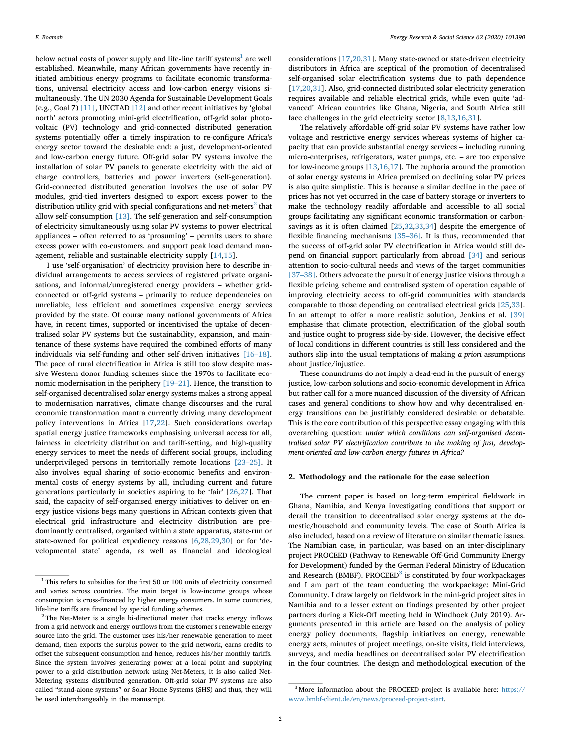below actual costs of power supply and life-line tariff systems<sup>[1](#page-1-0)</sup> are well established. Meanwhile, many African governments have recently initiated ambitious energy programs to facilitate economic transformations, universal electricity access and low-carbon energy visions simultaneously. The UN 2030 Agenda for Sustainable Development Goals (e.g., Goal 7) [\[11\]](#page-8-7), UNCTAD [\[12\]](#page-8-8) and other recent initiatives by 'global north' actors promoting mini-grid electrification, off-grid solar photovoltaic (PV) technology and grid-connected distributed generation systems potentially offer a timely inspiration to re-configure Africa's energy sector toward the desirable end: a just, development-oriented and low-carbon energy future. Off-grid solar PV systems involve the installation of solar PV panels to generate electricity with the aid of charge controllers, batteries and power inverters (self-generation). Grid-connected distributed generation involves the use of solar PV modules, grid-tied inverters designed to export excess power to the distribution utility grid with special configurations and net-meters $<sup>2</sup>$  $<sup>2</sup>$  $<sup>2</sup>$  that</sup> allow self-consumption [\[13\].](#page-8-9) The self-generation and self-consumption of electricity simultaneously using solar PV systems to power electrical appliances – often referred to as 'prosuming' – permits users to share excess power with co-customers, and support peak load demand management, reliable and sustainable electricity supply [[14,](#page-8-10)[15\]](#page-8-11).

I use 'self-organisation' of electricity provision here to describe individual arrangements to access services of registered private organisations, and informal/unregistered energy providers – whether gridconnected or off-grid systems – primarily to reduce dependencies on unreliable, less efficient and sometimes expensive energy services provided by the state. Of course many national governments of Africa have, in recent times, supported or incentivised the uptake of decentralised solar PV systems but the sustainability, expansion, and maintenance of these systems have required the combined efforts of many individuals via self-funding and other self-driven initiatives [\[16–18\]](#page-8-12). The pace of rural electrification in Africa is still too slow despite massive Western donor funding schemes since the 1970s to facilitate economic modernisation in the periphery [\[19–21\].](#page-8-13) Hence, the transition to self-organised decentralised solar energy systems makes a strong appeal to modernisation narratives, climate change discourses and the rural economic transformation mantra currently driving many development policy interventions in Africa [\[17](#page-8-14)[,22](#page-8-15)]. Such considerations overlap spatial energy justice frameworks emphasising universal access for all, fairness in electricity distribution and tariff-setting, and high-quality energy services to meet the needs of different social groups, including underprivileged persons in territorially remote locations [\[23–25\]](#page-8-16). It also involves equal sharing of socio-economic benefits and environmental costs of energy systems by all, including current and future generations particularly in societies aspiring to be 'fair' [[26,](#page-8-17)[27\]](#page-8-18). That said, the capacity of self-organised energy initiatives to deliver on energy justice visions begs many questions in African contexts given that electrical grid infrastructure and electricity distribution are predominantly centralised, organised within a state apparatus, state-run or state-owned for political expediency reasons [\[6,](#page-8-19)[28,](#page-8-20)[29](#page-8-21)[,30](#page-8-22)] or for 'developmental state' agenda, as well as financial and ideological

considerations [\[17](#page-8-14)[,20](#page-8-23)[,31](#page-8-24)]. Many state-owned or state-driven electricity distributors in Africa are sceptical of the promotion of decentralised self-organised solar electrification systems due to path dependence [[17](#page-8-14)[,20](#page-8-23)[,31](#page-8-24)]. Also, grid-connected distributed solar electricity generation requires available and reliable electrical grids, while even quite 'advanced' African countries like Ghana, Nigeria, and South Africa still face challenges in the grid electricity sector [\[8,](#page-8-4)[13,](#page-8-9)[16](#page-8-12)[,31](#page-8-24)].

The relatively affordable off-grid solar PV systems have rather low voltage and restrictive energy services whereas systems of higher capacity that can provide substantial energy services – including running micro-enterprises, refrigerators, water pumps, etc. – are too expensive for low-income groups [[13,](#page-8-9)[16,](#page-8-12)[17](#page-8-14)]. The euphoria around the promotion of solar energy systems in Africa premised on declining solar PV prices is also quite simplistic. This is because a similar decline in the pace of prices has not yet occurred in the case of battery storage or inverters to make the technology readily affordable and accessible to all social groups facilitating any significant economic transformation or carbonsavings as it is often claimed [\[25](#page-8-25)[,32](#page-8-26),[33,](#page-8-27)[34\]](#page-8-28) despite the emergence of flexible financing mechanisms [\[35–36\]](#page-8-29). It is thus, recommended that the success of off-grid solar PV electrification in Africa would still depend on financial support particularly from abroad [\[34\]](#page-8-28) and serious attention to socio-cultural needs and views of the target communities [\[37–38\]](#page-8-30). Others advocate the pursuit of energy justice visions through a flexible pricing scheme and centralised system of operation capable of improving electricity access to off-grid communities with standards comparable to those depending on centralised electrical grids [[25,](#page-8-25)[33](#page-8-27)]. In an attempt to offer a more realistic solution, Jenkins et al. [\[39\]](#page-8-31) emphasise that climate protection, electrification of the global south and justice ought to progress side-by-side. However, the decisive effect of local conditions in different countries is still less considered and the authors slip into the usual temptations of making *a priori* assumptions about justice/injustice.

These conundrums do not imply a dead-end in the pursuit of energy justice, low-carbon solutions and socio-economic development in Africa but rather call for a more nuanced discussion of the diversity of African cases and general conditions to show how and why decentralised energy transitions can be justifiably considered desirable or debatable. This is the core contribution of this perspective essay engaging with this overarching question: *under which conditions can self-organised decentralised solar PV electrification contribute to the making of just, development-oriented and low-carbon energy futures in Africa?*

#### **2. Methodology and the rationale for the case selection**

The current paper is based on long-term empirical fieldwork in Ghana, Namibia, and Kenya investigating conditions that support or derail the transition to decentralised solar energy systems at the domestic/household and community levels. The case of South Africa is also included, based on a review of literature on similar thematic issues. The Namibian case, in particular, was based on an inter-disciplinary project PROCEED (Pathway to Renewable Off-Grid Community Energy for Development) funded by the German Federal Ministry of Education and Research (BMBF). PROCEED<sup>[3](#page-1-2)</sup> is constituted by four workpackages and I am part of the team conducting the workpackage: Mini-Grid Community. I draw largely on fieldwork in the mini-grid project sites in Namibia and to a lesser extent on findings presented by other project partners during a Kick-Off meeting held in Windhoek (July 2019). Arguments presented in this article are based on the analysis of policy energy policy documents, flagship initiatives on energy, renewable energy acts, minutes of project meetings, on-site visits, field interviews, surveys, and media headlines on decentralised solar PV electrification in the four countries. The design and methodological execution of the

<span id="page-1-0"></span><sup>&</sup>lt;sup>1</sup> This refers to subsidies for the first 50 or 100 units of electricity consumed and varies across countries. The main target is low-income groups whose consumption is cross-financed by higher energy consumers. In some countries, life-line tariffs are financed by special funding schemes.

<span id="page-1-1"></span> $2$ <sup>2</sup> The Net-Meter is a single bi-directional meter that tracks energy inflows from a grid network and energy outflows from the customer's renewable energy source into the grid. The customer uses his/her renewable generation to meet demand, then exports the surplus power to the grid network, earns credits to offset the subsequent consumption and hence, reduces his/her monthly tariffs. Since the system involves generating power at a local point and supplying power to a grid distribution network using Net-Meters, it is also called Net-Metering systems distributed generation. Off-grid solar PV systems are also called "stand-alone systems" or Solar Home Systems (SHS) and thus, they will be used interchangeably in the manuscript.

<span id="page-1-2"></span><sup>3</sup> More information about the PROCEED project is available here: [https://](https://www.bmbf-client.de/en/news/proceed-project-start) [www.bmbf-client.de/en/news/proceed-project-start.](https://www.bmbf-client.de/en/news/proceed-project-start)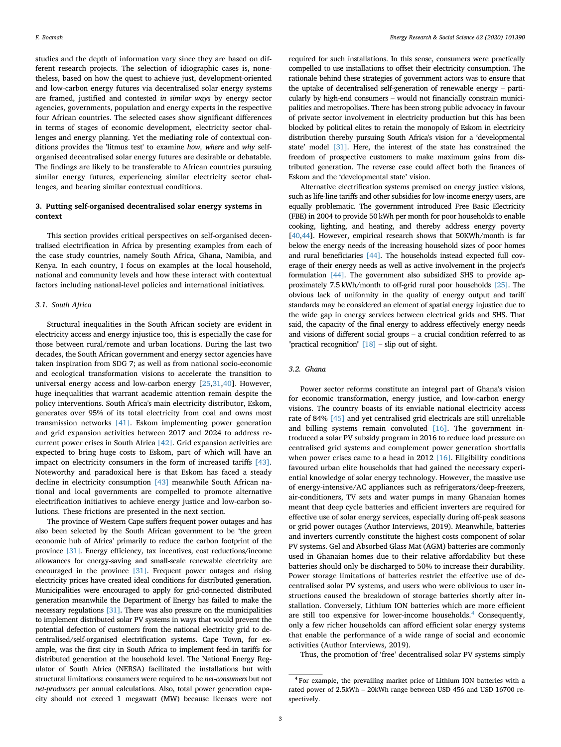studies and the depth of information vary since they are based on different research projects. The selection of idiographic cases is, nonetheless, based on how the quest to achieve just, development-oriented and low-carbon energy futures via decentralised solar energy systems are framed, justified and contested *in similar ways* by energy sector agencies, governments, population and energy experts in the respective four African countries. The selected cases show significant differences in terms of stages of economic development, electricity sector challenges and energy planning. Yet the mediating role of contextual conditions provides the 'litmus test' to examine *how, where* and *why* selforganised decentralised solar energy futures are desirable or debatable. The findings are likely to be transferable to African countries pursuing similar energy futures, experiencing similar electricity sector challenges, and bearing similar contextual conditions.

## **3. Putting self-organised decentralised solar energy systems in context**

This section provides critical perspectives on self-organised decentralised electrification in Africa by presenting examples from each of the case study countries, namely South Africa, Ghana, Namibia, and Kenya. In each country, I focus on examples at the local household, national and community levels and how these interact with contextual factors including national-level policies and international initiatives.

#### *3.1. South Africa*

Structural inequalities in the South African society are evident in electricity access and energy injustice too, this is especially the case for those between rural/remote and urban locations. During the last two decades, the South African government and energy sector agencies have taken inspiration from SDG 7; as well as from national socio-economic and ecological transformation visions to accelerate the transition to universal energy access and low-carbon energy [[25,](#page-8-25)[31,](#page-8-24)[40\]](#page-8-32). However, huge inequalities that warrant academic attention remain despite the policy interventions. South Africa's main electricity distributor, Eskom, generates over 95% of its total electricity from coal and owns most transmission networks [\[41\]](#page-8-33). Eskom implementing power generation and grid expansion activities between 2017 and 2024 to address recurrent power crises in South Africa [\[42\]](#page-8-34). Grid expansion activities are expected to bring huge costs to Eskom, part of which will have an impact on electricity consumers in the form of increased tariffs [\[43\]](#page-8-35). Noteworthy and paradoxical here is that Eskom has faced a steady decline in electricity consumption [\[43\]](#page-8-35) meanwhile South African national and local governments are compelled to promote alternative electrification initiatives to achieve energy justice and low-carbon solutions. These frictions are presented in the next section.

The province of Western Cape suffers frequent power outages and has also been selected by the South African government to be 'the green economic hub of Africa' primarily to reduce the carbon footprint of the province [\[31\]](#page-8-24). Energy efficiency, tax incentives, cost reductions/income allowances for energy-saving and small-scale renewable electricity are encouraged in the province [\[31\]](#page-8-24). Frequent power outages and rising electricity prices have created ideal conditions for distributed generation. Municipalities were encouraged to apply for grid-connected distributed generation meanwhile the Department of Energy has failed to make the necessary regulations [\[31\].](#page-8-24) There was also pressure on the municipalities to implement distributed solar PV systems in ways that would prevent the potential defection of customers from the national electricity grid to decentralised/self-organised electrification systems. Cape Town, for example, was the first city in South Africa to implement feed-in tariffs for distributed generation at the household level. The National Energy Regulator of South Africa (NERSA) facilitated the installations but with structural limitations: consumers were required to be *net-consumers* but not *net-producers* per annual calculations. Also, total power generation capacity should not exceed 1 megawatt (MW) because licenses were not

required for such installations. In this sense, consumers were practically compelled to use installations to offset their electricity consumption. The rationale behind these strategies of government actors was to ensure that the uptake of decentralised self-generation of renewable energy – particularly by high-end consumers – would not financially constrain municipalities and metropolises. There has been strong public advocacy in favour of private sector involvement in electricity production but this has been blocked by political elites to retain the monopoly of Eskom in electricity distribution thereby pursuing South Africa's vision for a 'developmental state' model [\[31\].](#page-8-24) Here, the interest of the state has constrained the freedom of prospective customers to make maximum gains from distributed generation. The reverse case could affect both the finances of Eskom and the 'developmental state' vision.

Alternative electrification systems premised on energy justice visions, such as life-line tariffs and other subsidies for low-income energy users, are equally problematic. The government introduced Free Basic Electricity (FBE) in 2004 to provide 50 kWh per month for poor households to enable cooking, lighting, and heating, and thereby address energy poverty [[40](#page-8-32),[44](#page-8-36)]. However, empirical research shows that 50KWh/month is far below the energy needs of the increasing household sizes of poor homes and rural beneficiaries [\[44\].](#page-8-36) The households instead expected full coverage of their energy needs as well as active involvement in the project's formulation [\[44\].](#page-8-36) The government also subsidized SHS to provide approximately 7.5 kWh/month to off-grid rural poor households [\[25\].](#page-8-25) The obvious lack of uniformity in the quality of energy output and tariff standards may be considered an element of spatial energy injustice due to the wide gap in energy services between electrical grids and SHS. That said, the capacity of the final energy to address effectively energy needs and visions of different social groups – a crucial condition referred to as "practical recognition" [\[18\]](#page-8-37) – slip out of sight.

#### *3.2. Ghana*

Power sector reforms constitute an integral part of Ghana's vision for economic transformation, energy justice, and low-carbon energy visions. The country boasts of its enviable national electricity access rate of 84% [\[45\]](#page-8-38) and yet centralised grid electricals are still unreliable and billing systems remain convoluted [\[16\].](#page-8-12) The government introduced a solar PV subsidy program in 2016 to reduce load pressure on centralised grid systems and complement power generation shortfalls when power crises came to a head in 2012 [\[16\].](#page-8-12) Eligibility conditions favoured urban elite households that had gained the necessary experiential knowledge of solar energy technology. However, the massive use of energy-intensive/AC appliances such as refrigerators/deep-freezers, air-conditioners, TV sets and water pumps in many Ghanaian homes meant that deep cycle batteries and efficient inverters are required for effective use of solar energy services, especially during off-peak seasons or grid power outages (Author Interviews, 2019). Meanwhile, batteries and inverters currently constitute the highest costs component of solar PV systems. Gel and Absorbed Glass Mat (AGM) batteries are commonly used in Ghanaian homes due to their relative affordability but these batteries should only be discharged to 50% to increase their durability. Power storage limitations of batteries restrict the effective use of decentralised solar PV systems, and users who were oblivious to user instructions caused the breakdown of storage batteries shortly after installation. Conversely, Lithium ION batteries which are more efficient are still too expensive for lower-income households.<sup>[4](#page-2-0)</sup> Consequently, only a few richer households can afford efficient solar energy systems that enable the performance of a wide range of social and economic activities (Author Interviews, 2019).

Thus, the promotion of 'free' decentralised solar PV systems simply

<span id="page-2-0"></span><sup>4</sup> For example, the prevailing market price of Lithium ION batteries with a rated power of 2.5kWh – 20kWh range between USD 456 and USD 16700 respectively.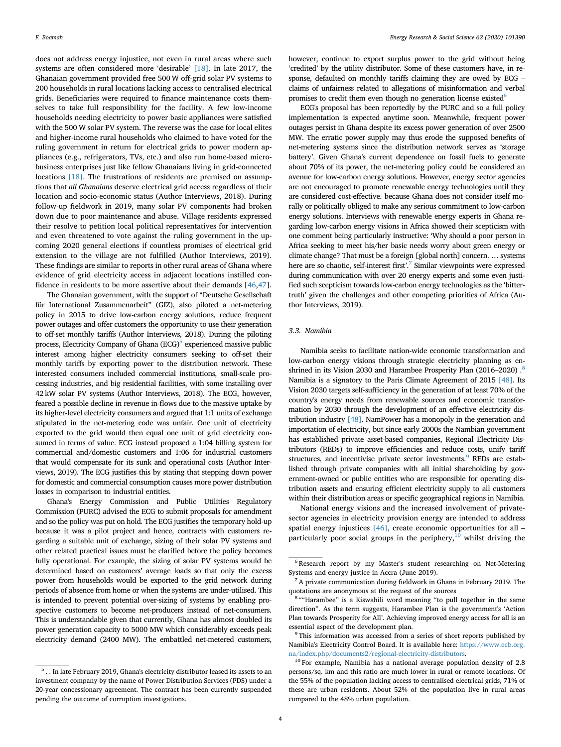does not address energy injustice, not even in rural areas where such systems are often considered more 'desirable' [\[18\].](#page-8-37) In late 2017, the Ghanaian government provided free 500 W off-grid solar PV systems to 200 households in rural locations lacking access to centralised electrical grids. Beneficiaries were required to finance maintenance costs themselves to take full responsibility for the facility. A few low-income households needing electricity to power basic appliances were satisfied with the 500 W solar PV system. The reverse was the case for local elites and higher-income rural households who claimed to have voted for the ruling government in return for electrical grids to power modern appliances (e.g., refrigerators, TVs, etc.) and also run home-based microbusiness enterprises just like fellow Ghanaians living in grid-connected locations [\[18\]](#page-8-37). The frustrations of residents are premised on assumptions that *all Ghanaians* deserve electrical grid access regardless of their location and socio-economic status (Author Interviews, 2018). During follow-up fieldwork in 2019, many solar PV components had broken down due to poor maintenance and abuse. Village residents expressed their resolve to petition local political representatives for intervention and even threatened to vote against the ruling government in the upcoming 2020 general elections if countless promises of electrical grid extension to the village are not fulfilled (Author Interviews, 2019). These findings are similar to reports in other rural areas of Ghana where evidence of grid electricity access in adjacent locations instilled confidence in residents to be more assertive about their demands [[46,](#page-8-39)[47](#page-8-40)].

The Ghanaian government, with the support of "Deutsche Gesellschaft für International Zusammenarbeit" (GIZ), also piloted a net-metering policy in 2015 to drive low-carbon energy solutions, reduce frequent power outages and offer customers the opportunity to use their generation to off-set monthly tariffs (Author Interviews, 2018). During the piloting process, Electricity Company of Ghana (ECG)<sup>[5](#page-3-0)</sup> experienced massive public interest among higher electricity consumers seeking to off-set their monthly tariffs by exporting power to the distribution network. These interested consumers included commercial institutions, small-scale processing industries, and big residential facilities, with some installing over 42 kW solar PV systems (Author Interviews, 2018). The ECG, however, feared a possible decline in revenue in-flows due to the massive uptake by its higher-level electricity consumers and argued that 1:1 units of exchange stipulated in the net-metering code was unfair. One unit of electricity exported to the grid would then equal one unit of grid electricity consumed in terms of value. ECG instead proposed a 1:04 billing system for commercial and/domestic customers and 1:06 for industrial customers that would compensate for its sunk and operational costs (Author Interviews, 2019). The ECG justifies this by stating that stepping down power for domestic and commercial consumption causes more power distribution losses in comparison to industrial entities.

Ghana's Energy Commission and Public Utilities Regulatory Commission (PURC) advised the ECG to submit proposals for amendment and so the policy was put on hold. The ECG justifies the temporary hold-up because it was a pilot project and hence, contracts with customers regarding a suitable unit of exchange, sizing of their solar PV systems and other related practical issues must be clarified before the policy becomes fully operational. For example, the sizing of solar PV systems would be determined based on customers' average loads so that only the excess power from households would be exported to the grid network during periods of absence from home or when the systems are under-utilised. This is intended to prevent potential over-sizing of systems by enabling prospective customers to become net-producers instead of net-consumers. This is understandable given that currently, Ghana has almost doubled its power generation capacity to 5000 MW which considerably exceeds peak electricity demand (2400 MW). The embattled net-metered customers,

however, continue to export surplus power to the grid without being 'credited' by the utility distributor. Some of these customers have, in response, defaulted on monthly tariffs claiming they are owed by ECG – claims of unfairness related to allegations of misinformation and verbal promises to credit them even though no generation license existed<sup>6</sup>

ECG's proposal has been reportedly by the PURC and so a full policy implementation is expected anytime soon. Meanwhile, frequent power outages persist in Ghana despite its excess power generation of over 2500 MW. The erratic power supply may thus erode the supposed benefits of net-metering systems since the distribution network serves as 'storage battery'. Given Ghana's current dependence on fossil fuels to generate about 70% of its power, the net-metering policy could be considered an avenue for low-carbon energy solutions. However, energy sector agencies are not encouraged to promote renewable energy technologies until they are considered cost-effective. because Ghana does not consider itself morally or politically obliged to make any serious commitment to low-carbon energy solutions. Interviews with renewable energy experts in Ghana regarding low-carbon energy visions in Africa showed their scepticism with one comment being particularly instructive: 'Why should a poor person in Africa seeking to meet his/her basic needs worry about green energy or climate change? That must be a foreign [global north] concern. … systems here are so chaotic, self-interest first'.<sup>7</sup> Similar viewpoints were expressed during communication with over 20 energy experts and some even justified such scepticism towards low-carbon energy technologies as the 'bittertruth' given the challenges and other competing priorities of Africa (Author Interviews, 2019).

#### *3.3. Namibia*

Namibia seeks to facilitate nation-wide economic transformation and low-carbon energy visions through strategic electricity planning as enshrined in its Vision 2030 and Harambee Prosperity Plan (2016–2020).<sup>8</sup> Namibia is a signatory to the Paris Climate Agreement of 2015 [\[48\]](#page-8-41). Its Vision 2030 targets self-sufficiency in the generation of at least 70% of the country's energy needs from renewable sources and economic transformation by 2030 through the development of an effective electricity distribution industry [\[48\].](#page-8-41) NamPower has a monopoly in the generation and importation of electricity, but since early 2000s the Nambian government has established private asset-based companies, Regional Electricity Distributors (REDs) to improve efficiencies and reduce costs, unify tariff structures, and incentivise private sector investments.<sup>9</sup> REDs are established through private companies with all initial shareholding by government-owned or public entities who are responsible for operating distribution assets and ensuring efficient electricity supply to all customers within their distribution areas or specific geographical regions in Namibia.

National energy visions and the increased involvement of privatesector agencies in electricity provision energy are intended to address spatial energy injustices  $[46]$ , create economic opportunities for all – particularly poor social groups in the periphery, $10$  whilst driving the

<span id="page-3-0"></span> $^{\rm 5}$  . . In late February 2019, Ghana's electricity distributor leased its assets to an investment company by the name of Power Distribution Services (PDS) under a 20-year concessionary agreement. The contract has been currently suspended pending the outcome of corruption investigations.

<span id="page-3-1"></span><sup>6</sup> Research report by my Master's student researching on Net-Metering Systems and energy justice in Accra (June 2019).

<span id="page-3-2"></span> $7$  A private communication during fieldwork in Ghana in February 2019. The quotations are anonymous at the request of the sources

<span id="page-3-3"></span><sup>&</sup>lt;sup>8</sup> ""Harambee" is a Kiswahili word meaning "to pull together in the same direction". As the term suggests, Harambee Plan is the government's 'Action Plan towards Prosperity for All'. Achieving improved energy access for all is an essential aspect of the development plan.

<span id="page-3-4"></span><sup>&</sup>lt;sup>9</sup> This information was accessed from a series of short reports published by Namibia's Electricity Control Board. It is available here: [https://www.ecb.org.](https://www.ecb.org.na/index.php/documents2/regional-electricity-distributors) [na/index.php/documents2/regional-electricity-distributors.](https://www.ecb.org.na/index.php/documents2/regional-electricity-distributors)

<span id="page-3-5"></span><sup>&</sup>lt;sup>10</sup> For example, Namibia has a national average population density of 2.8 persons/sq. km and this ratio are much lower in rural or remote locations. Of the 55% of the population lacking access to centralised electrical grids, 71% of these are urban residents. About 52% of the population live in rural areas compared to the 48% urban population.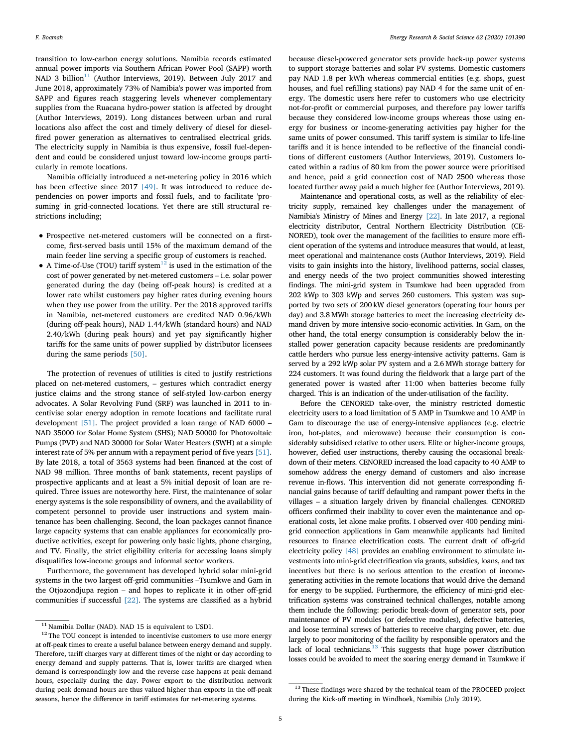transition to low-carbon energy solutions. Namibia records estimated annual power imports via Southern African Power Pool (SAPP) worth NAD 3 billion $11$  (Author Interviews, 2019). Between July 2017 and June 2018, approximately 73% of Namibia's power was imported from SAPP and figures reach staggering levels whenever complementary supplies from the Ruacana hydro-power station is affected by drought (Author Interviews, 2019). Long distances between urban and rural locations also affect the cost and timely delivery of diesel for dieselfired power generation as alternatives to centralised electrical grids. The electricity supply in Namibia is thus expensive, fossil fuel-dependent and could be considered unjust toward low-income groups particularly in remote locations.

Namibia officially introduced a net-metering policy in 2016 which has been effective since 2017 [\[49\].](#page-8-42) It was introduced to reduce dependencies on power imports and fossil fuels, and to facilitate 'prosuming' in grid-connected locations. Yet there are still structural restrictions including;

- Prospective net-metered customers will be connected on a firstcome, first-served basis until 15% of the maximum demand of the main feeder line serving a specific group of customers is reached.
- A Time-of-Use (TOU) tariff system<sup>[12](#page-4-1)</sup> is used in the estimation of the cost of power generated by net-metered customers – i.e. solar power generated during the day (being off-peak hours) is credited at a lower rate whilst customers pay higher rates during evening hours when they use power from the utility. Per the 2018 approved tariffs in Namibia, net-metered customers are credited NAD 0.96/kWh (during off-peak hours), NAD 1.44/kWh (standard hours) and NAD 2.40/kWh (during peak hours) and yet pay significantly higher tariffs for the same units of power supplied by distributor licensees during the same periods [\[50\].](#page-8-43)

The protection of revenues of utilities is cited to justify restrictions placed on net-metered customers, – gestures which contradict energy justice claims and the strong stance of self-styled low-carbon energy advocates. A Solar Revolving Fund (SRF) was launched in 2011 to incentivise solar energy adoption in remote locations and facilitate rural development [\[51\]](#page-8-44). The project provided a loan range of NAD 6000 – NAD 35000 for Solar Home System (SHS); NAD 50000 for Photovoltaic Pumps (PVP) and NAD 30000 for Solar Water Heaters (SWH) at a simple interest rate of 5% per annum with a repayment period of five years [\[51\]](#page-8-44). By late 2018, a total of 3563 systems had been financed at the cost of NAD 98 million. Three months of bank statements, recent payslips of prospective applicants and at least a 5% initial deposit of loan are required. Three issues are noteworthy here. First, the maintenance of solar energy systems is the sole responsibility of owners, and the availability of competent personnel to provide user instructions and system maintenance has been challenging. Second, the loan packages cannot finance large capacity systems that can enable appliances for economically productive activities, except for powering only basic lights, phone charging, and TV. Finally, the strict eligibility criteria for accessing loans simply disqualifies low-income groups and informal sector workers.

Furthermore, the government has developed hybrid solar mini-grid systems in the two largest off-grid communities –Tsumkwe and Gam in the Otjozondjupa region – and hopes to replicate it in other off-grid communities if successful [\[22\]](#page-8-15). The systems are classified as a hybrid

because diesel-powered generator sets provide back-up power systems to support storage batteries and solar PV systems. Domestic customers pay NAD 1.8 per kWh whereas commercial entities (e.g. shops, guest houses, and fuel refilling stations) pay NAD 4 for the same unit of energy. The domestic users here refer to customers who use electricity not-for-profit or commercial purposes, and therefore pay lower tariffs because they considered low-income groups whereas those using energy for business or income-generating activities pay higher for the same units of power consumed. This tariff system is similar to life-line tariffs and it is hence intended to be reflective of the financial conditions of different customers (Author Interviews, 2019). Customers located within a radius of 80 km from the power source were prioritised and hence, paid a grid connection cost of NAD 2500 whereas those located further away paid a much higher fee (Author Interviews, 2019).

Maintenance and operational costs, as well as the reliability of electricity supply, remained key challenges under the management of Namibia's Ministry of Mines and Energy [\[22\]](#page-8-15). In late 2017, a regional electricity distributor, Central Northern Electricity Distribution (CE-NORED), took over the management of the facilities to ensure more efficient operation of the systems and introduce measures that would, at least, meet operational and maintenance costs (Author Interviews, 2019). Field visits to gain insights into the history, livelihood patterns, social classes, and energy needs of the two project communities showed interesting findings. The mini-grid system in Tsumkwe had been upgraded from 202 kWp to 303 kWp and serves 260 customers. This system was supported by two sets of 200 kW diesel generators (operating four hours per day) and 3.8 MWh storage batteries to meet the increasing electricity demand driven by more intensive socio-economic activities. In Gam, on the other hand, the total energy consumption is considerably below the installed power generation capacity because residents are predominantly cattle herders who pursue less energy-intensive activity patterns. Gam is served by a 292 kWp solar PV system and a 2.6 MWh storage battery for 224 customers. It was found during the fieldwork that a large part of the generated power is wasted after 11:00 when batteries become fully charged. This is an indication of the under-utilisation of the facility.

Before the CENORED take-over, the ministry restricted domestic electricity users to a load limitation of 5 AMP in Tsumkwe and 10 AMP in Gam to discourage the use of energy-intensive appliances (e.g. electric iron, hot-plates, and microwave) because their consumption is considerably subsidised relative to other users. Elite or higher-income groups, however, defied user instructions, thereby causing the occasional breakdown of their meters. CENORED increased the load capacity to 40 AMP to somehow address the energy demand of customers and also increase revenue in-flows. This intervention did not generate corresponding financial gains because of tariff defaulting and rampant power thefts in the villages – a situation largely driven by financial challenges. CENORED officers confirmed their inability to cover even the maintenance and operational costs, let alone make profits. I observed over 400 pending minigrid connection applications in Gam meanwhile applicants had limited resources to finance electrification costs. The current draft of off-grid electricity policy [\[48\]](#page-8-41) provides an enabling environment to stimulate investments into mini-grid electrification via grants, subsidies, loans, and tax incentives but there is no serious attention to the creation of incomegenerating activities in the remote locations that would drive the demand for energy to be supplied. Furthermore, the efficiency of mini-grid electrification systems was constrained technical challenges, notable among them include the following: periodic break-down of generator sets, poor maintenance of PV modules (or defective modules), defective batteries, and loose terminal screws of batteries to receive charging power, etc. due largely to poor monitoring of the facility by responsible operators and the lack of local technicians. $^{13}$  $^{13}$  $^{13}$  This suggests that huge power distribution losses could be avoided to meet the soaring energy demand in Tsumkwe if

<span id="page-4-0"></span> $^{11}$  Namibia Dollar (NAD). NAD 15 is equivalent to USD1.

<span id="page-4-1"></span> $12$  The TOU concept is intended to incentivise customers to use more energy at off-peak times to create a useful balance between energy demand and supply. Therefore, tariff charges vary at different times of the night or day according to energy demand and supply patterns. That is, lower tariffs are charged when demand is correspondingly low and the reverse case happens at peak demand hours, especially during the day. Power export to the distribution network during peak demand hours are thus valued higher than exports in the off-peak seasons, hence the difference in tariff estimates for net-metering systems.

<span id="page-4-2"></span><sup>&</sup>lt;sup>13</sup> These findings were shared by the technical team of the PROCEED project during the Kick-off meeting in Windhoek, Namibia (July 2019).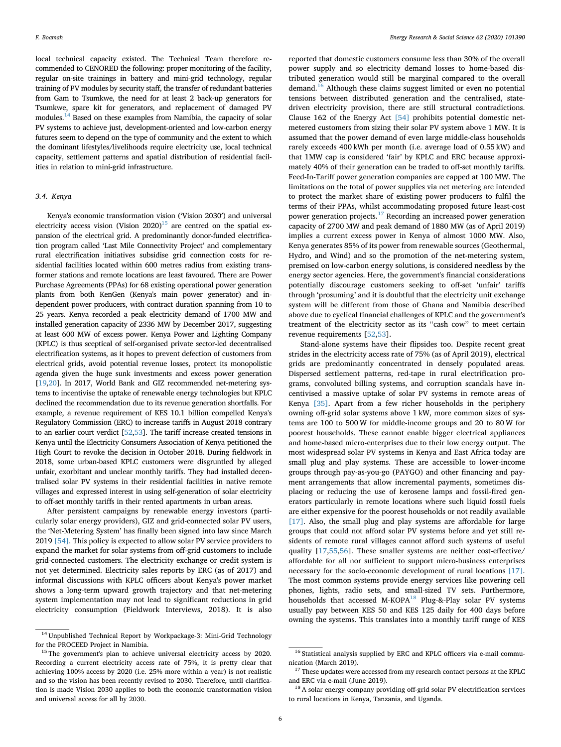local technical capacity existed. The Technical Team therefore recommended to CENORED the following: proper monitoring of the facility, regular on-site trainings in battery and mini-grid technology, regular training of PV modules by security staff, the transfer of redundant batteries from Gam to Tsumkwe, the need for at least 2 back-up generators for Tsumkwe, spare kit for generators, and replacement of damaged PV modules[.14](#page-5-0) Based on these examples from Namibia, the capacity of solar PV systems to achieve just, development-oriented and low-carbon energy futures seem to depend on the type of community and the extent to which the dominant lifestyles/livelihoods require electricity use, local technical capacity, settlement patterns and spatial distribution of residential facilities in relation to mini-grid infrastructure.

#### *3.4. Kenya*

Kenya's economic transformation vision ('Vision 2030′) and universal electricity access vision (Vision  $2020$ )<sup>[15](#page-5-1)</sup> are centred on the spatial expansion of the electrical grid. A predominantly donor-funded electrification program called 'Last Mile Connectivity Project' and complementary rural electrification initiatives subsidise grid connection costs for residential facilities located within 600 metres radius from existing transformer stations and remote locations are least favoured. There are Power Purchase Agreements (PPAs) for 68 existing operational power generation plants from both KenGen (Kenya's main power generator) and independent power producers, with contract duration spanning from 10 to 25 years. Kenya recorded a peak electricity demand of 1700 MW and installed generation capacity of 2336 MW by December 2017, suggesting at least 600 MW of excess power. Kenya Power and Lighting Company (KPLC) is thus sceptical of self-organised private sector-led decentralised electrification systems, as it hopes to prevent defection of customers from electrical grids, avoid potential revenue losses, protect its monopolistic agenda given the huge sunk investments and excess power generation [[19](#page-8-13),[20](#page-8-23)]. In 2017, World Bank and GIZ recommended net-metering systems to incentivise the uptake of renewable energy technologies but KPLC declined the recommendation due to its revenue generation shortfalls. For example, a revenue requirement of KES 10.1 billion compelled Kenya's Regulatory Commission (ERC) to increase tariffs in August 2018 contrary to an earlier court verdict [\[52,](#page-8-45)[53](#page-8-46)]. The tariff increase created tensions in Kenya until the Electricity Consumers Association of Kenya petitioned the High Court to revoke the decision in October 2018. During fieldwork in 2018, some urban-based KPLC customers were disgruntled by alleged unfair, exorbitant and unclear monthly tariffs. They had installed decentralised solar PV systems in their residential facilities in native remote villages and expressed interest in using self-generation of solar electricity to off-set monthly tariffs in their rented apartments in urban areas.

After persistent campaigns by renewable energy investors (particularly solar energy providers), GIZ and grid-connected solar PV users, the 'Net-Metering System' has finally been signed into law since March 2019 [\[54\]](#page-8-47). This policy is expected to allow solar PV service providers to expand the market for solar systems from off-grid customers to include grid-connected customers. The electricity exchange or credit system is not yet determined. Electricity sales reports by ERC (as of 2017) and informal discussions with KPLC officers about Kenya's power market shows a long-term upward growth trajectory and that net-metering system implementation may not lead to significant reductions in grid electricity consumption (Fieldwork Interviews, 2018). It is also

reported that domestic customers consume less than 30% of the overall power supply and so electricity demand losses to home-based distributed generation would still be marginal compared to the overall demand.<sup>[16](#page-5-2)</sup> Although these claims suggest limited or even no potential tensions between distributed generation and the centralised, statedriven electricity provision, there are still structural contradictions. Clause 162 of the Energy Act [\[54\]](#page-8-47) prohibits potential domestic netmetered customers from sizing their solar PV system above 1 MW. It is assumed that the power demand of even large middle-class households rarely exceeds 400 kWh per month (i.e. average load of 0.55 kW) and that 1MW cap is considered 'fair' by KPLC and ERC because approximately 40% of their generation can be traded to off-set monthly tariffs. Feed-In-Tariff power generation companies are capped at 100 MW. The limitations on the total of power supplies via net metering are intended to protect the market share of existing power producers to fulfil the terms of their PPAs, whilst accommodating proposed future least-cost power generation projects.<sup>[17](#page-5-3)</sup> Recording an increased power generation capacity of 2700 MW and peak demand of 1880 MW (as of April 2019) implies a current excess power in Kenya of almost 1000 MW. Also, Kenya generates 85% of its power from renewable sources (Geothermal, Hydro, and Wind) and so the promotion of the net-metering system, premised on low-carbon energy solutions, is considered needless by the energy sector agencies. Here, the government's financial considerations potentially discourage customers seeking to off-set 'unfair' tariffs through 'prosuming' and it is doubtful that the electricity unit exchange system will be different from those of Ghana and Namibia described above due to cyclical financial challenges of KPLC and the government's treatment of the electricity sector as its ''cash cow'' to meet certain revenue requirements [[52,](#page-8-45)[53](#page-8-46)].

Stand-alone systems have their flipsides too. Despite recent great strides in the electricity access rate of 75% (as of April 2019), electrical grids are predominantly concentrated in densely populated areas. Dispersed settlement patterns, red-tape in rural electrification programs, convoluted billing systems, and corruption scandals have incentivised a massive uptake of solar PV systems in remote areas of Kenya [\[35\].](#page-8-29) Apart from a few richer households in the periphery owning off-grid solar systems above 1 kW, more common sizes of systems are 100 to 500 W for middle-income groups and 20 to 80 W for poorest households. These cannot enable bigger electrical appliances and home-based micro-enterprises due to their low energy output. The most widespread solar PV systems in Kenya and East Africa today are small plug and play systems. These are accessible to lower-income groups through pay-as-you-go (PAYGO) and other financing and payment arrangements that allow incremental payments, sometimes displacing or reducing the use of kerosene lamps and fossil-fired generators particularly in remote locations where such liquid fossil fuels are either expensive for the poorest households or not readily available [\[17\]](#page-8-14). Also, the small plug and play systems are affordable for large groups that could not afford solar PV systems before and yet still residents of remote rural villages cannot afford such systems of useful quality [\[17](#page-8-14),[55,](#page-8-48)[56\]](#page-8-49). These smaller systems are neither cost-effective/ affordable for all nor sufficient to support micro-business enterprises necessary for the socio-economic development of rural locations [\[17\]](#page-8-14). The most common systems provide energy services like powering cell phones, lights, radio sets, and small-sized TV sets. Furthermore, households that accessed M-KOPA $^{18}$  Plug-&-Play solar PV systems usually pay between KES 50 and KES 125 daily for 400 days before owning the systems. This translates into a monthly tariff range of KES

<span id="page-5-0"></span><sup>14</sup> Unpublished Technical Report by Workpackage-3: Mini-Grid Technology for the PROCEED Project in Namibia.

<span id="page-5-1"></span><sup>&</sup>lt;sup>15</sup> The government's plan to achieve universal electricity access by 2020. Recording a current electricity access rate of 75%, it is pretty clear that achieving 100% access by 2020 (i.e. 25% more within a year) is not realistic and so the vision has been recently revised to 2030. Therefore, until clarification is made Vision 2030 applies to both the economic transformation vision and universal access for all by 2030.

<span id="page-5-2"></span><sup>&</sup>lt;sup>16</sup> Statistical analysis supplied by ERC and KPLC officers via e-mail communication (March 2019).

<span id="page-5-3"></span> $^{17}$  These updates were accessed from my research contact persons at the KPLC  $\,$ and ERC via e-mail (June 2019).

<span id="page-5-4"></span><sup>&</sup>lt;sup>18</sup> A solar energy company providing off-grid solar PV electrification services to rural locations in Kenya, Tanzania, and Uganda.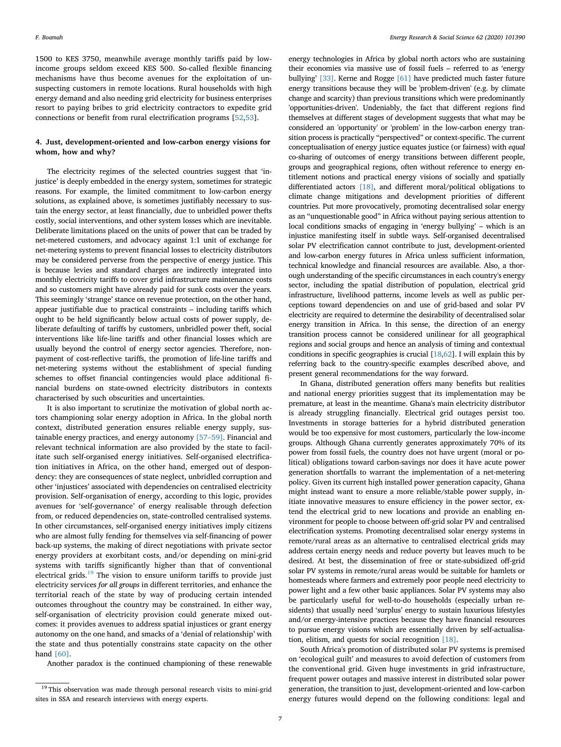1500 to KES 3750, meanwhile average monthly tariffs paid by lowincome groups seldom exceed KES 500. So-called flexible financing mechanisms have thus become avenues for the exploitation of unsuspecting customers in remote locations. Rural households with high energy demand and also needing grid electricity for business enterprises resort to paying bribes to grid electricity contractors to expedite grid connections or benefit from rural electrification programs [[52](#page-8-45),[53\]](#page-8-46).

#### **4. Just, development-oriented and low-carbon energy visions for whom, how and why?**

The electricity regimes of the selected countries suggest that 'injustice' is deeply embedded in the energy system, sometimes for strategic reasons. For example, the limited commitment to low-carbon energy solutions, as explained above, is sometimes justifiably necessary to sustain the energy sector, at least financially, due to unbridled power thefts costly, social interventions, and other system losses which are inevitable. Deliberate limitations placed on the units of power that can be traded by net-metered customers, and advocacy against 1:1 unit of exchange for net-metering systems to prevent financial losses to electricity distributors may be considered perverse from the perspective of energy justice. This is because levies and standard charges are indirectly integrated into monthly electricity tariffs to cover grid infrastructure maintenance costs and so customers might have already paid for sunk costs over the years. This seemingly 'strange' stance on revenue protection, on the other hand, appear justifiable due to practical constraints – including tariffs which ought to be held significantly below actual costs of power supply, deliberate defaulting of tariffs by customers, unbridled power theft, social interventions like life-line tariffs and other financial losses which are usually beyond the control of energy sector agencies. Therefore, nonpayment of cost-reflective tariffs, the promotion of life-line tariffs and net-metering systems without the establishment of special funding schemes to offset financial contingencies would place additional financial burdens on state-owned electricity distributors in contexts characterised by such obscurities and uncertainties.

It is also important to scrutinize the motivation of global north actors championing solar energy adoption in Africa. In the global north context, distributed generation ensures reliable energy supply, sustainable energy practices, and energy autonomy [\[57–59\].](#page-8-50) Financial and relevant technical information are also provided by the state to facilitate such self-organised energy initiatives. Self-organised electrification initiatives in Africa, on the other hand, emerged out of despondency: they are consequences of state neglect, unbridled corruption and other 'injustices' associated with dependencies on centralised electricity provision. Self-organisation of energy, according to this logic, provides avenues for 'self-governance' of energy realisable through defection from, or reduced dependencies on, state-controlled centralised systems. In other circumstances, self-organised energy initiatives imply citizens who are almost fully fending for themselves via self-financing of power back-up systems, the making of direct negotiations with private sector energy providers at exorbitant costs, and/or depending on mini-grid systems with tariffs significantly higher than that of conventional electrical grids. $19$  The vision to ensure uniform tariffs to provide just electricity services *for all groups* in different territories, and enhance the territorial reach of the state by way of producing certain intended outcomes throughout the country may be constrained. In either way, self-organisation of electricity provision could generate mixed outcomes: it provides avenues to address spatial injustices or grant energy autonomy on the one hand, and smacks of a 'denial of relationship' with the state and thus potentially constrains state capacity on the other hand [\[60\].](#page-8-51)

Another paradox is the continued championing of these renewable

energy technologies in Africa by global north actors who are sustaining their economies via massive use of fossil fuels – referred to as 'energy bullying' [\[33\].](#page-8-27) Kerne and Rogge [\[61\]](#page-8-52) have predicted much faster future energy transitions because they will be 'problem-driven' (e.g. by climate change and scarcity) than previous transitions which were predominantly 'opportunities-driven'. Undeniably, the fact that different regions find themselves at different stages of development suggests that what may be considered an 'opportunity' or 'problem' in the low-carbon energy transition process is practically "perspectived" or context-specific. The current conceptualisation of energy justice equates justice (or fairness) with *equal* co-sharing of outcomes of energy transitions between different people, groups and geographical regions, often without reference to energy entitlement notions and practical energy visions of socially and spatially differentiated actors [\[18\],](#page-8-37) and different moral/political obligations to climate change mitigations and development priorities of different countries. Put more provocatively, promoting decentralised solar energy as an "unquestionable good" in Africa without paying serious attention to local conditions smacks of engaging in 'energy bullying' – which is an injustice manifesting itself in subtle ways. Self-organised decentralised solar PV electrification cannot contribute to just, development-oriented and low-carbon energy futures in Africa unless sufficient information, technical knowledge and financial resources are available. Also, a thorough understanding of the specific circumstances in each country's energy sector, including the spatial distribution of population, electrical grid infrastructure, livelihood patterns, income levels as well as public perceptions toward dependencies on and use of grid-based and solar PV electricity are required to determine the desirability of decentralised solar energy transition in Africa. In this sense, the direction of an energy transition process cannot be considered unilinear for all geographical regions and social groups and hence an analysis of timing and contextual conditions in specific geographies is crucial [\[18](#page-8-37)[,62\]](#page-8-53). I will explain this by referring back to the country-specific examples described above, and present general recommendations for the way forward.

In Ghana, distributed generation offers many benefits but realities and national energy priorities suggest that its implementation may be premature, at least in the meantime. Ghana's main electricity distributor is already struggling financially. Electrical grid outages persist too. Investments in storage batteries for a hybrid distributed generation would be too expensive for most customers, particularly the low-income groups. Although Ghana currently generates approximately 70% of its power from fossil fuels, the country does not have urgent (moral or political) obligations toward carbon-savings nor does it have acute power generation shortfalls to warrant the implementation of a net-metering policy. Given its current high installed power generation capacity, Ghana might instead want to ensure a more reliable/stable power supply, initiate innovative measures to ensure efficiency in the power sector, extend the electrical grid to new locations and provide an enabling environment for people to choose between off-grid solar PV and centralised electrification systems. Promoting decentralised solar energy systems in remote/rural areas as an alternative to centralised electrical grids may address certain energy needs and reduce poverty but leaves much to be desired. At best, the dissemination of free or state-subsidized off-grid solar PV systems in remote/rural areas would be suitable for hamlets or homesteads where farmers and extremely poor people need electricity to power light and a few other basic appliances. Solar PV systems may also be particularly useful for well-to-do households (especially urban residents) that usually need 'surplus' energy to sustain luxurious lifestyles and/or energy-intensive practices because they have financial resources to pursue energy visions which are essentially driven by self-actualisation, elitism, and quests for social recognition [\[18\].](#page-8-37)

South Africa's promotion of distributed solar PV systems is premised on 'ecological guilt' and measures to avoid defection of customers from the conventional grid. Given huge investments in grid infrastructure, frequent power outages and massive interest in distributed solar power generation, the transition to just, development-oriented and low-carbon energy futures would depend on the following conditions: legal and

<span id="page-6-0"></span><sup>&</sup>lt;sup>19</sup> This observation was made through personal research visits to mini-grid sites in SSA and research interviews with energy experts.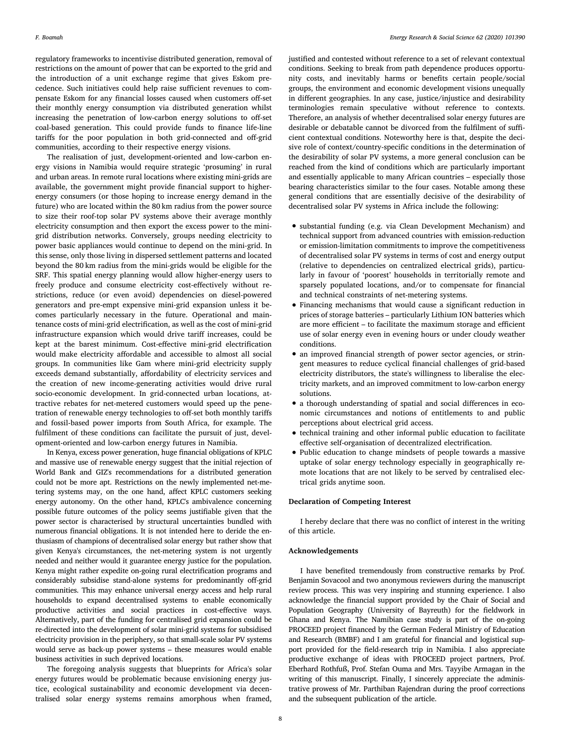regulatory frameworks to incentivise distributed generation, removal of restrictions on the amount of power that can be exported to the grid and the introduction of a unit exchange regime that gives Eskom precedence. Such initiatives could help raise sufficient revenues to compensate Eskom for any financial losses caused when customers off-set their monthly energy consumption via distributed generation whilst increasing the penetration of low-carbon energy solutions to off-set coal-based generation. This could provide funds to finance life-line tariffs for the poor population in both grid-connected and off-grid communities, according to their respective energy visions.

The realisation of just, development-oriented and low-carbon energy visions in Namibia would require strategic 'prosuming' in rural and urban areas. In remote rural locations where existing mini-grids are available, the government might provide financial support to higherenergy consumers (or those hoping to increase energy demand in the future) who are located within the 80 km radius from the power source to size their roof-top solar PV systems above their average monthly electricity consumption and then export the excess power to the minigrid distribution networks. Conversely, groups needing electricity to power basic appliances would continue to depend on the mini-grid. In this sense, only those living in dispersed settlement patterns and located beyond the 80 km radius from the mini-grids would be eligible for the SRF. This spatial energy planning would allow higher-energy users to freely produce and consume electricity cost-effectively without restrictions, reduce (or even avoid) dependencies on diesel-powered generators and pre-empt expensive mini-grid expansion unless it becomes particularly necessary in the future. Operational and maintenance costs of mini-grid electrification, as well as the cost of mini-grid infrastructure expansion which would drive tariff increases, could be kept at the barest minimum. Cost-effective mini-grid electrification would make electricity affordable and accessible to almost all social groups. In communities like Gam where mini-grid electricity supply exceeds demand substantially, affordability of electricity services and the creation of new income-generating activities would drive rural socio-economic development. In grid-connected urban locations, attractive rebates for net-metered customers would speed up the penetration of renewable energy technologies to off-set both monthly tariffs and fossil-based power imports from South Africa, for example. The fulfilment of these conditions can facilitate the pursuit of just, development-oriented and low-carbon energy futures in Namibia.

In Kenya, excess power generation, huge financial obligations of KPLC and massive use of renewable energy suggest that the initial rejection of World Bank and GIZ's recommendations for a distributed generation could not be more apt. Restrictions on the newly implemented net-metering systems may, on the one hand, affect KPLC customers seeking energy autonomy. On the other hand, KPLC's ambivalence concerning possible future outcomes of the policy seems justifiable given that the power sector is characterised by structural uncertainties bundled with numerous financial obligations. It is not intended here to deride the enthusiasm of champions of decentralised solar energy but rather show that given Kenya's circumstances, the net-metering system is not urgently needed and neither would it guarantee energy justice for the population. Kenya might rather expedite on-going rural electrification programs and considerably subsidise stand-alone systems for predominantly off-grid communities. This may enhance universal energy access and help rural households to expand decentralised systems to enable economically productive activities and social practices in cost-effective ways. Alternatively, part of the funding for centralised grid expansion could be re-directed into the development of solar mini-grid systems for subsidised electricity provision in the periphery, so that small-scale solar PV systems would serve as back-up power systems – these measures would enable business activities in such deprived locations.

The foregoing analysis suggests that blueprints for Africa's solar energy futures would be problematic because envisioning energy justice, ecological sustainability and economic development via decentralised solar energy systems remains amorphous when framed, justified and contested without reference to a set of relevant contextual conditions. Seeking to break from path dependence produces opportunity costs, and inevitably harms or benefits certain people/social groups, the environment and economic development visions unequally in different geographies. In any case, justice/injustice and desirability terminologies remain speculative without reference to contexts. Therefore, an analysis of whether decentralised solar energy futures are desirable or debatable cannot be divorced from the fulfilment of sufficient contextual conditions. Noteworthy here is that, despite the decisive role of context/country-specific conditions in the determination of the desirability of solar PV systems, a more general conclusion can be reached from the kind of conditions which are particularly important and essentially applicable to many African countries – especially those bearing characteristics similar to the four cases. Notable among these general conditions that are essentially decisive of the desirability of decentralised solar PV systems in Africa include the following:

- substantial funding (e.g. via Clean Development Mechanism) and technical support from advanced countries with emission-reduction or emission-limitation commitments to improve the competitiveness of decentralised solar PV systems in terms of cost and energy output (relative to dependencies on centralized electrical grids), particularly in favour of 'poorest' households in territorially remote and sparsely populated locations, and/or to compensate for financial and technical constraints of net-metering systems.
- Financing mechanisms that would cause a significant reduction in prices of storage batteries – particularly Lithium ION batteries which are more efficient – to facilitate the maximum storage and efficient use of solar energy even in evening hours or under cloudy weather conditions.
- an improved financial strength of power sector agencies, or stringent measures to reduce cyclical financial challenges of grid-based electricity distributors, the state's willingness to liberalise the electricity markets, and an improved commitment to low-carbon energy solutions.
- a thorough understanding of spatial and social differences in economic circumstances and notions of entitlements to and public perceptions about electrical grid access.
- technical training and other informal public education to facilitate effective self-organisation of decentralized electrification.
- Public education to change mindsets of people towards a massive uptake of solar energy technology especially in geographically remote locations that are not likely to be served by centralised electrical grids anytime soon.

#### **Declaration of Competing Interest**

I hereby declare that there was no conflict of interest in the writing of this article.

#### **Acknowledgements**

I have benefited tremendously from constructive remarks by Prof. Benjamin Sovacool and two anonymous reviewers during the manuscript review process. This was very inspiring and stunning experience. I also acknowledge the financial support provided by the Chair of Social and Population Geography (University of Bayreuth) for the fieldwork in Ghana and Kenya. The Namibian case study is part of the on-going PROCEED project financed by the German Federal Ministry of Education and Research (BMBF) and I am grateful for financial and logistical support provided for the field-research trip in Namibia. I also appreciate productive exchange of ideas with PROCEED project partners, Prof. Eberhard Rothfuß, Prof. Stefan Ouma and Mrs. Tayyibe Armagan in the writing of this manuscript. Finally, I sincerely appreciate the administrative prowess of Mr. Parthiban Rajendran during the proof corrections and the subsequent publication of the article.